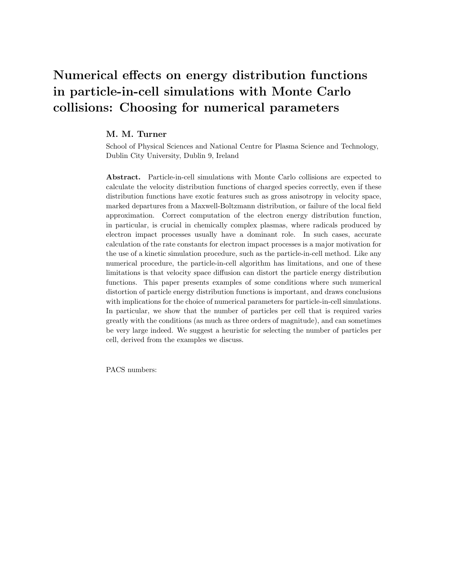# Numerical effects on energy distribution functions in particle-in-cell simulations with Monte Carlo collisions: Choosing for numerical parameters

### M. M. Turner

School of Physical Sciences and National Centre for Plasma Science and Technology, Dublin City University, Dublin 9, Ireland

Abstract. Particle-in-cell simulations with Monte Carlo collisions are expected to calculate the velocity distribution functions of charged species correctly, even if these distribution functions have exotic features such as gross anisotropy in velocity space, marked departures from a Maxwell-Boltzmann distribution, or failure of the local field approximation. Correct computation of the electron energy distribution function, in particular, is crucial in chemically complex plasmas, where radicals produced by electron impact processes usually have a dominant role. In such cases, accurate calculation of the rate constants for electron impact processes is a major motivation for the use of a kinetic simulation procedure, such as the particle-in-cell method. Like any numerical procedure, the particle-in-cell algorithm has limitations, and one of these limitations is that velocity space diffusion can distort the particle energy distribution functions. This paper presents examples of some conditions where such numerical distortion of particle energy distribution functions is important, and draws conclusions with implications for the choice of numerical parameters for particle-in-cell simulations. In particular, we show that the number of particles per cell that is required varies greatly with the conditions (as much as three orders of magnitude), and can sometimes be very large indeed. We suggest a heuristic for selecting the number of particles per cell, derived from the examples we discuss.

PACS numbers: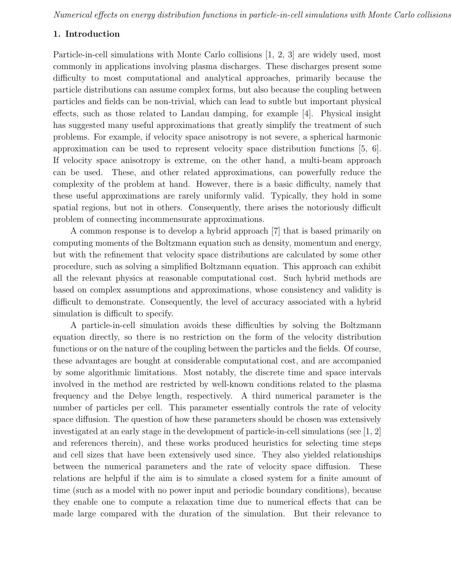# 1. Introduction

Particle-in-cell simulations with Monte Carlo collisions [1, 2, 3] are widely used, most commonly in applications involving plasma discharges. These discharges present some difficulty to most computational and analytical approaches, primarily because the particle distributions can assume complex forms, but also because the coupling between particles and fields can be non-trivial, which can lead to subtle but important physical effects, such as those related to Landau damping, for example [4]. Physical insight has suggested many useful approximations that greatly simplify the treatment of such problems. For example, if velocity space anisotropy is not severe, a spherical harmonic approximation can be used to represent velocity space distribution functions [5, 6]. If velocity space anisotropy is extreme, on the other hand, a multi-beam approach can be used. These, and other related approximations, can powerfully reduce the complexity of the problem at hand. However, there is a basic difficulty, namely that these useful approximations are rarely uniformly valid. Typically, they hold in some spatial regions, but not in others. Consequently, there arises the notoriously difficult problem of connecting incommensurate approximations.

A common response is to develop a hybrid approach [7] that is based primarily on computing moments of the Boltzmann equation such as density, momentum and energy, but with the refinement that velocity space distributions are calculated by some other procedure, such as solving a simplified Boltzmann equation. This approach can exhibit all the relevant physics at reasonable computational cost. Such hybrid methods are based on complex assumptions and approximations, whose consistency and validity is difficult to demonstrate. Consequently, the level of accuracy associated with a hybrid simulation is difficult to specify.

A particle-in-cell simulation avoids these difficulties by solving the Boltzmann equation directly, so there is no restriction on the form of the velocity distribution functions or on the nature of the coupling between the particles and the fields. Of course, these advantages are bought at considerable computational cost, and are accompanied by some algorithmic limitations. Most notably, the discrete time and space intervals involved in the method are restricted by well-known conditions related to the plasma frequency and the Debye length, respectively. A third numerical parameter is the number of particles per cell. This parameter essentially controls the rate of velocity space diffusion. The question of how these parameters should be chosen was extensively investigated at an early stage in the development of particle-in-cell simulations (see [1, 2] and references therein), and these works produced heuristics for selecting time steps and cell sizes that have been extensively used since. They also yielded relationships between the numerical parameters and the rate of velocity space diffusion. These relations are helpful if the aim is to simulate a closed system for a finite amount of time (such as a model with no power input and periodic boundary conditions), because they enable one to compute a relaxation time due to numerical effects that can be made large compared with the duration of the simulation. But their relevance to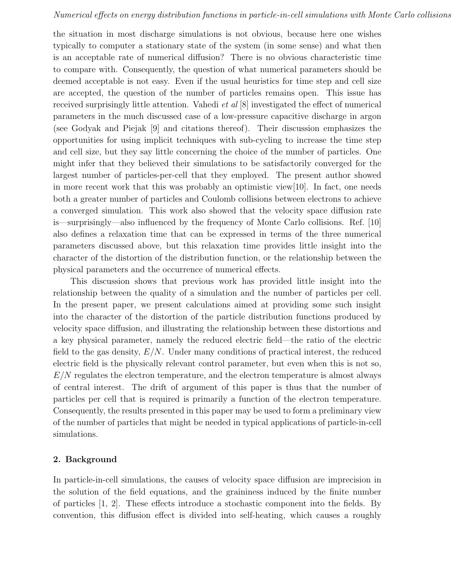the situation in most discharge simulations is not obvious, because here one wishes typically to computer a stationary state of the system (in some sense) and what then is an acceptable rate of numerical diffusion? There is no obvious characteristic time to compare with. Consequently, the question of what numerical parameters should be deemed acceptable is not easy. Even if the usual heuristics for time step and cell size are accepted, the question of the number of particles remains open. This issue has received surprisingly little attention. Vahedi *et al*  $\lbrack 8 \rbrack$  investigated the effect of numerical parameters in the much discussed case of a low-pressure capacitive discharge in argon (see Godyak and Piejak [9] and citations thereof). Their discussion emphasizes the opportunities for using implicit techniques with sub-cycling to increase the time step and cell size, but they say little concerning the choice of the number of particles. One might infer that they believed their simulations to be satisfactorily converged for the largest number of particles-per-cell that they employed. The present author showed in more recent work that this was probably an optimistic view[10]. In fact, one needs both a greater number of particles and Coulomb collisions between electrons to achieve a converged simulation. This work also showed that the velocity space diffusion rate is—surprisingly—also influenced by the frequency of Monte Carlo collisions. Ref. [10] also defines a relaxation time that can be expressed in terms of the three numerical parameters discussed above, but this relaxation time provides little insight into the character of the distortion of the distribution function, or the relationship between the physical parameters and the occurrence of numerical effects.

This discussion shows that previous work has provided little insight into the relationship between the quality of a simulation and the number of particles per cell. In the present paper, we present calculations aimed at providing some such insight into the character of the distortion of the particle distribution functions produced by velocity space diffusion, and illustrating the relationship between these distortions and a key physical parameter, namely the reduced electric field—the ratio of the electric field to the gas density,  $E/N$ . Under many conditions of practical interest, the reduced electric field is the physically relevant control parameter, but even when this is not so,  $E/N$  regulates the electron temperature, and the electron temperature is almost always of central interest. The drift of argument of this paper is thus that the number of particles per cell that is required is primarily a function of the electron temperature. Consequently, the results presented in this paper may be used to form a preliminary view of the number of particles that might be needed in typical applications of particle-in-cell simulations.

# 2. Background

In particle-in-cell simulations, the causes of velocity space diffusion are imprecision in the solution of the field equations, and the graininess induced by the finite number of particles [1, 2]. These effects introduce a stochastic component into the fields. By convention, this diffusion effect is divided into self-heating, which causes a roughly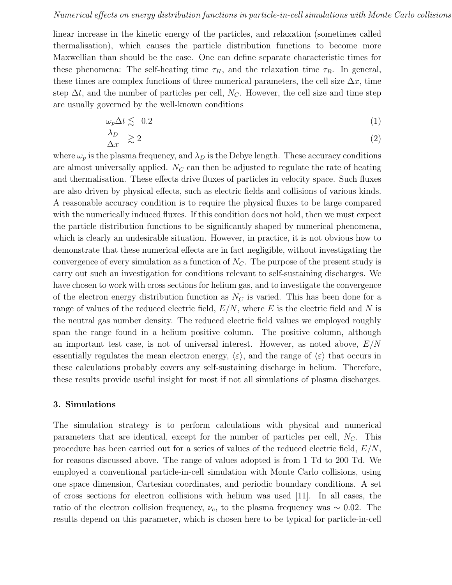linear increase in the kinetic energy of the particles, and relaxation (sometimes called thermalisation), which causes the particle distribution functions to become more Maxwellian than should be the case. One can define separate characteristic times for these phenomena: The self-heating time  $\tau_H$ , and the relaxation time  $\tau_R$ . In general, these times are complex functions of three numerical parameters, the cell size  $\Delta x$ , time step  $\Delta t$ , and the number of particles per cell, N<sub>C</sub>. However, the cell size and time step are usually governed by the well-known conditions

$$
\omega_p \Delta t \lesssim 0.2 \tag{1}
$$

$$
\frac{\lambda_D}{\Delta x} \ge 2\tag{2}
$$

where  $\omega_p$  is the plasma frequency, and  $\lambda_D$  is the Debye length. These accuracy conditions are almost universally applied.  $N<sub>C</sub>$  can then be adjusted to regulate the rate of heating and thermalisation. These effects drive fluxes of particles in velocity space. Such fluxes are also driven by physical effects, such as electric fields and collisions of various kinds. A reasonable accuracy condition is to require the physical fluxes to be large compared with the numerically induced fluxes. If this condition does not hold, then we must expect the particle distribution functions to be significantly shaped by numerical phenomena, which is clearly an undesirable situation. However, in practice, it is not obvious how to demonstrate that these numerical effects are in fact negligible, without investigating the convergence of every simulation as a function of  $N<sub>C</sub>$ . The purpose of the present study is carry out such an investigation for conditions relevant to self-sustaining discharges. We have chosen to work with cross sections for helium gas, and to investigate the convergence of the electron energy distribution function as  $N<sub>C</sub>$  is varied. This has been done for a range of values of the reduced electric field,  $E/N$ , where E is the electric field and N is the neutral gas number density. The reduced electric field values we employed roughly span the range found in a helium positive column. The positive column, although an important test case, is not of universal interest. However, as noted above,  $E/N$ essentially regulates the mean electron energy,  $\langle \varepsilon \rangle$ , and the range of  $\langle \varepsilon \rangle$  that occurs in these calculations probably covers any self-sustaining discharge in helium. Therefore, these results provide useful insight for most if not all simulations of plasma discharges.

## 3. Simulations

The simulation strategy is to perform calculations with physical and numerical parameters that are identical, except for the number of particles per cell,  $N_c$ . This procedure has been carried out for a series of values of the reduced electric field,  $E/N$ , for reasons discussed above. The range of values adopted is from 1 Td to 200 Td. We employed a conventional particle-in-cell simulation with Monte Carlo collisions, using one space dimension, Cartesian coordinates, and periodic boundary conditions. A set of cross sections for electron collisions with helium was used [11]. In all cases, the ratio of the electron collision frequency,  $\nu_c$ , to the plasma frequency was ~ 0.02. The results depend on this parameter, which is chosen here to be typical for particle-in-cell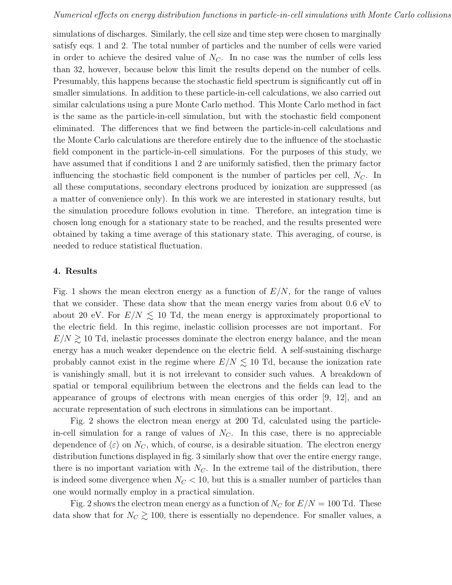simulations of discharges. Similarly, the cell size and time step were chosen to marginally satisfy eqs. 1 and 2. The total number of particles and the number of cells were varied in order to achieve the desired value of  $N_C$ . In no case was the number of cells less than 32, however, because below this limit the results depend on the number of cells. Presumably, this happens because the stochastic field spectrum is significantly cut off in smaller simulations. In addition to these particle-in-cell calculations, we also carried out similar calculations using a pure Monte Carlo method. This Monte Carlo method in fact is the same as the particle-in-cell simulation, but with the stochastic field component eliminated. The differences that we find between the particle-in-cell calculations and the Monte Carlo calculations are therefore entirely due to the influence of the stochastic field component in the particle-in-cell simulations. For the purposes of this study, we have assumed that if conditions 1 and 2 are uniformly satisfied, then the primary factor influencing the stochastic field component is the number of particles per cell,  $N_c$ . In all these computations, secondary electrons produced by ionization are suppressed (as a matter of convenience only). In this work we are interested in stationary results, but the simulation procedure follows evolution in time. Therefore, an integration time is chosen long enough for a stationary state to be reached, and the results presented were obtained by taking a time average of this stationary state. This averaging, of course, is needed to reduce statistical fluctuation.

### 4. Results

Fig. 1 shows the mean electron energy as a function of  $E/N$ , for the range of values that we consider. These data show that the mean energy varies from about 0.6 eV to about 20 eV. For  $E/N \le 10$  Td, the mean energy is approximately proportional to the electric field. In this regime, inelastic collision processes are not important. For  $E/N \gtrsim 10$  Td, inelastic processes dominate the electron energy balance, and the mean energy has a much weaker dependence on the electric field. A self-sustaining discharge probably cannot exist in the regime where  $E/N \lesssim 10$  Td, because the ionization rate is vanishingly small, but it is not irrelevant to consider such values. A breakdown of spatial or temporal equilibrium between the electrons and the fields can lead to the appearance of groups of electrons with mean energies of this order [9, 12], and an accurate representation of such electrons in simulations can be important.

Fig. 2 shows the electron mean energy at 200 Td, calculated using the particlein-cell simulation for a range of values of  $N<sub>C</sub>$ . In this case, there is no appreciable dependence of  $\langle \varepsilon \rangle$  on  $N_C$ , which, of course, is a desirable situation. The electron energy distribution functions displayed in fig. 3 similarly show that over the entire energy range, there is no important variation with  $N<sub>C</sub>$ . In the extreme tail of the distribution, there is indeed some divergence when  $N<sub>C</sub> < 10$ , but this is a smaller number of particles than one would normally employ in a practical simulation.

Fig. 2 shows the electron mean energy as a function of  $N_C$  for  $E/N = 100$  Td. These data show that for  $N_C \gtrsim 100$ , there is essentially no dependence. For smaller values, a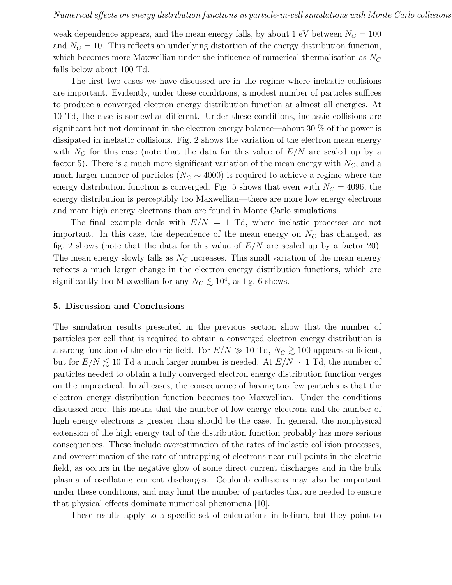weak dependence appears, and the mean energy falls, by about 1 eV between  $N_C = 100$ and  $N_c = 10$ . This reflects an underlying distortion of the energy distribution function, which becomes more Maxwellian under the influence of numerical thermalisation as  $N_C$ falls below about 100 Td.

The first two cases we have discussed are in the regime where inelastic collisions are important. Evidently, under these conditions, a modest number of particles suffices to produce a converged electron energy distribution function at almost all energies. At 10 Td, the case is somewhat different. Under these conditions, inelastic collisions are significant but not dominant in the electron energy balance—about 30 % of the power is dissipated in inelastic collisions. Fig. 2 shows the variation of the electron mean energy with  $N_c$  for this case (note that the data for this value of  $E/N$  are scaled up by a factor 5). There is a much more significant variation of the mean energy with  $N_c$ , and a much larger number of particles ( $N_C \sim 4000$ ) is required to achieve a regime where the energy distribution function is converged. Fig. 5 shows that even with  $N<sub>C</sub> = 4096$ , the energy distribution is perceptibly too Maxwellian—there are more low energy electrons and more high energy electrons than are found in Monte Carlo simulations.

The final example deals with  $E/N = 1$  Td, where inelastic processes are not important. In this case, the dependence of the mean energy on  $N_c$  has changed, as fig. 2 shows (note that the data for this value of  $E/N$  are scaled up by a factor 20). The mean energy slowly falls as  $N<sub>C</sub>$  increases. This small variation of the mean energy reflects a much larger change in the electron energy distribution functions, which are significantly too Maxwellian for any  $N_C \lesssim 10^4$ , as fig. 6 shows.

### 5. Discussion and Conclusions

The simulation results presented in the previous section show that the number of particles per cell that is required to obtain a converged electron energy distribution is a strong function of the electric field. For  $E/N \gg 10$  Td,  $N_C \gtrsim 100$  appears sufficient, but for  $E/N \lesssim 10$  Td a much larger number is needed. At  $E/N \sim 1$  Td, the number of particles needed to obtain a fully converged electron energy distribution function verges on the impractical. In all cases, the consequence of having too few particles is that the electron energy distribution function becomes too Maxwellian. Under the conditions discussed here, this means that the number of low energy electrons and the number of high energy electrons is greater than should be the case. In general, the nonphysical extension of the high energy tail of the distribution function probably has more serious consequences. These include overestimation of the rates of inelastic collision processes, and overestimation of the rate of untrapping of electrons near null points in the electric field, as occurs in the negative glow of some direct current discharges and in the bulk plasma of oscillating current discharges. Coulomb collisions may also be important under these conditions, and may limit the number of particles that are needed to ensure that physical effects dominate numerical phenomena [10].

These results apply to a specific set of calculations in helium, but they point to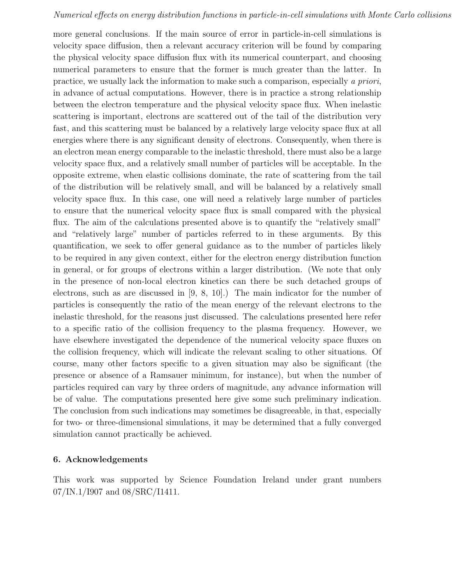more general conclusions. If the main source of error in particle-in-cell simulations is velocity space diffusion, then a relevant accuracy criterion will be found by comparing the physical velocity space diffusion flux with its numerical counterpart, and choosing numerical parameters to ensure that the former is much greater than the latter. In practice, we usually lack the information to make such a comparison, especially a priori, in advance of actual computations. However, there is in practice a strong relationship between the electron temperature and the physical velocity space flux. When inelastic scattering is important, electrons are scattered out of the tail of the distribution very fast, and this scattering must be balanced by a relatively large velocity space flux at all energies where there is any significant density of electrons. Consequently, when there is an electron mean energy comparable to the inelastic threshold, there must also be a large velocity space flux, and a relatively small number of particles will be acceptable. In the opposite extreme, when elastic collisions dominate, the rate of scattering from the tail of the distribution will be relatively small, and will be balanced by a relatively small velocity space flux. In this case, one will need a relatively large number of particles to ensure that the numerical velocity space flux is small compared with the physical flux. The aim of the calculations presented above is to quantify the "relatively small" and "relatively large" number of particles referred to in these arguments. By this quantification, we seek to offer general guidance as to the number of particles likely to be required in any given context, either for the electron energy distribution function in general, or for groups of electrons within a larger distribution. (We note that only in the presence of non-local electron kinetics can there be such detached groups of electrons, such as are discussed in [9, 8, 10].) The main indicator for the number of particles is consequently the ratio of the mean energy of the relevant electrons to the inelastic threshold, for the reasons just discussed. The calculations presented here refer to a specific ratio of the collision frequency to the plasma frequency. However, we have elsewhere investigated the dependence of the numerical velocity space fluxes on the collision frequency, which will indicate the relevant scaling to other situations. Of course, many other factors specific to a given situation may also be significant (the presence or absence of a Ramsauer minimum, for instance), but when the number of particles required can vary by three orders of magnitude, any advance information will be of value. The computations presented here give some such preliminary indication. The conclusion from such indications may sometimes be disagreeable, in that, especially for two- or three-dimensional simulations, it may be determined that a fully converged simulation cannot practically be achieved.

# 6. Acknowledgements

This work was supported by Science Foundation Ireland under grant numbers 07/IN.1/I907 and 08/SRC/I1411.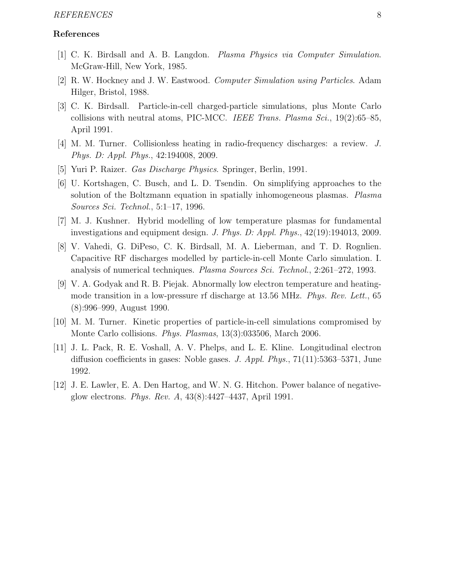## References

- [1] C. K. Birdsall and A. B. Langdon. Plasma Physics via Computer Simulation. McGraw-Hill, New York, 1985.
- [2] R. W. Hockney and J. W. Eastwood. Computer Simulation using Particles. Adam Hilger, Bristol, 1988.
- [3] C. K. Birdsall. Particle-in-cell charged-particle simulations, plus Monte Carlo collisions with neutral atoms, PIC-MCC. IEEE Trans. Plasma Sci.,  $19(2):65-85$ , April 1991.
- [4] M. M. Turner. Collisionless heating in radio-frequency discharges: a review. J. Phys. D: Appl. Phys., 42:194008, 2009.
- [5] Yuri P. Raizer. Gas Discharge Physics. Springer, Berlin, 1991.
- [6] U. Kortshagen, C. Busch, and L. D. Tsendin. On simplifying approaches to the solution of the Boltzmann equation in spatially inhomogeneous plasmas. Plasma Sources Sci. Technol., 5:1–17, 1996.
- [7] M. J. Kushner. Hybrid modelling of low temperature plasmas for fundamental investigations and equipment design. J. Phys. D: Appl. Phys., 42(19):194013, 2009.
- [8] V. Vahedi, G. DiPeso, C. K. Birdsall, M. A. Lieberman, and T. D. Rognlien. Capacitive RF discharges modelled by particle-in-cell Monte Carlo simulation. I. analysis of numerical techniques. Plasma Sources Sci. Technol., 2:261–272, 1993.
- [9] V. A. Godyak and R. B. Piejak. Abnormally low electron temperature and heatingmode transition in a low-pressure rf discharge at 13.56 MHz. Phys. Rev. Lett., 65 (8):996–999, August 1990.
- [10] M. M. Turner. Kinetic properties of particle-in-cell simulations compromised by Monte Carlo collisions. *Phys. Plasmas*, 13(3):033506, March 2006.
- [11] J. L. Pack, R. E. Voshall, A. V. Phelps, and L. E. Kline. Longitudinal electron diffusion coefficients in gases: Noble gases. J. Appl. Phys.,  $71(11):5363-5371$ , June 1992.
- [12] J. E. Lawler, E. A. Den Hartog, and W. N. G. Hitchon. Power balance of negativeglow electrons. Phys. Rev. A, 43(8):4427–4437, April 1991.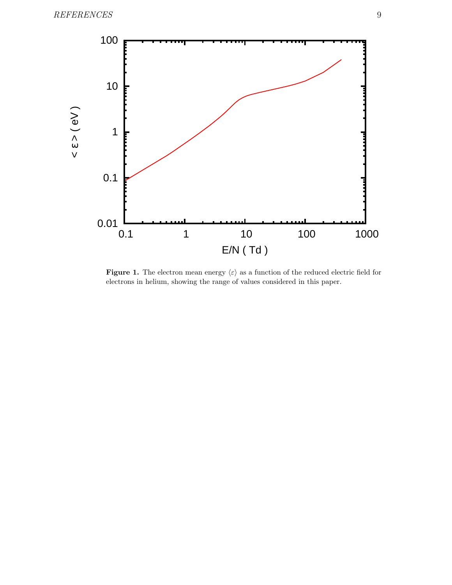

**Figure 1.** The electron mean energy  $\langle \varepsilon \rangle$  as a function of the reduced electric field for electrons in helium, showing the range of values considered in this paper.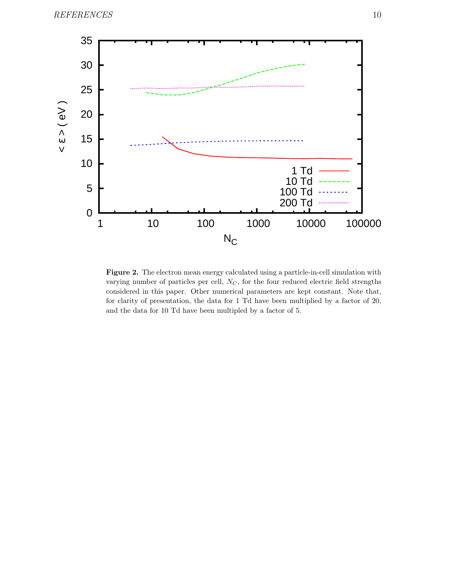

Figure 2. The electron mean energy calculated using a particle-in-cell simulation with varying number of particles per cell,  $N_C$ , for the four reduced electric field strengths considered in this paper. Other numerical parameters are kept constant. Note that, for clarity of presentation, the data for 1 Td have been multiplied by a factor of 20, and the data for 10 Td have been multipled by a factor of 5.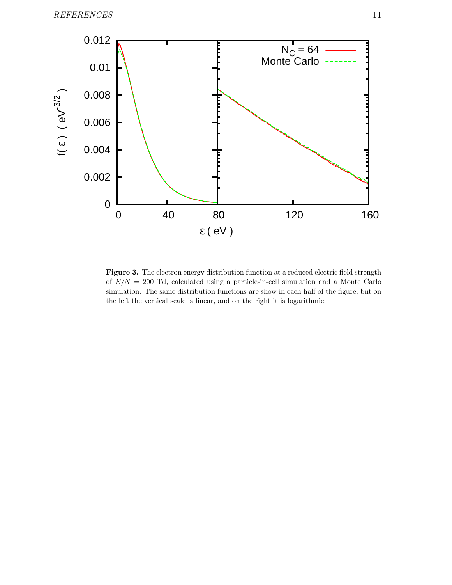

Figure 3. The electron energy distribution function at a reduced electric field strength of  $E/N = 200$  Td, calculated using a particle-in-cell simulation and a Monte Carlo simulation. The same distribution functions are show in each half of the figure, but on the left the vertical scale is linear, and on the right it is logarithmic.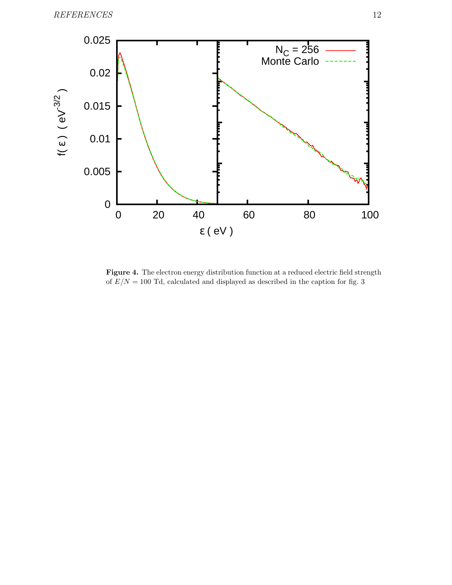

Figure 4. The electron energy distribution function at a reduced electric field strength of  $E/N = 100$  Td, calculated and displayed as described in the caption for fig. 3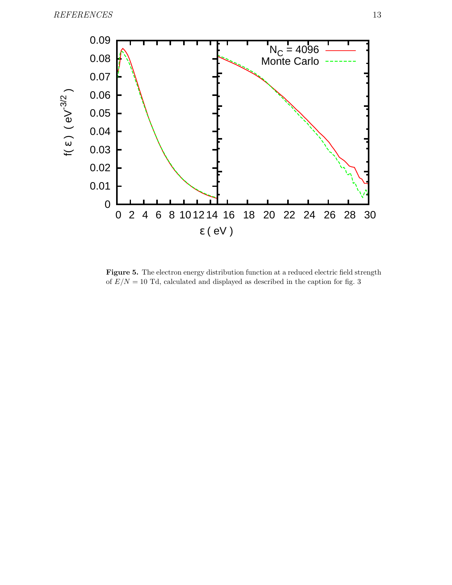

Figure 5. The electron energy distribution function at a reduced electric field strength of  $E/N = 10$  Td, calculated and displayed as described in the caption for fig. 3